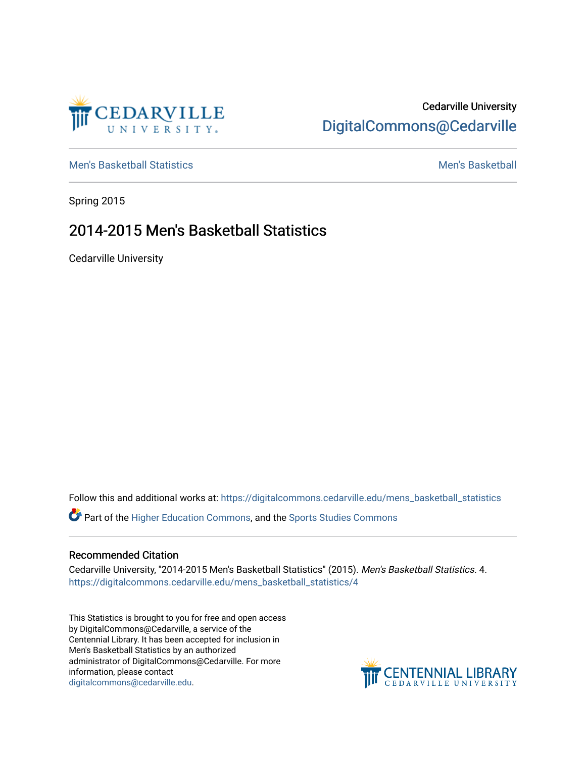

## Cedarville University [DigitalCommons@Cedarville](https://digitalcommons.cedarville.edu/)

[Men's Basketball Statistics](https://digitalcommons.cedarville.edu/mens_basketball_statistics) [Men's Basketball](https://digitalcommons.cedarville.edu/mens_basketball) 

Spring 2015

## 2014-2015 Men's Basketball Statistics

Cedarville University

Follow this and additional works at: [https://digitalcommons.cedarville.edu/mens\\_basketball\\_statistics](https://digitalcommons.cedarville.edu/mens_basketball_statistics?utm_source=digitalcommons.cedarville.edu%2Fmens_basketball_statistics%2F4&utm_medium=PDF&utm_campaign=PDFCoverPages) 

Part of the [Higher Education Commons,](http://network.bepress.com/hgg/discipline/1245?utm_source=digitalcommons.cedarville.edu%2Fmens_basketball_statistics%2F4&utm_medium=PDF&utm_campaign=PDFCoverPages) and the [Sports Studies Commons](http://network.bepress.com/hgg/discipline/1198?utm_source=digitalcommons.cedarville.edu%2Fmens_basketball_statistics%2F4&utm_medium=PDF&utm_campaign=PDFCoverPages) 

## Recommended Citation

Cedarville University, "2014-2015 Men's Basketball Statistics" (2015). Men's Basketball Statistics. 4. [https://digitalcommons.cedarville.edu/mens\\_basketball\\_statistics/4](https://digitalcommons.cedarville.edu/mens_basketball_statistics/4?utm_source=digitalcommons.cedarville.edu%2Fmens_basketball_statistics%2F4&utm_medium=PDF&utm_campaign=PDFCoverPages) 

This Statistics is brought to you for free and open access by DigitalCommons@Cedarville, a service of the Centennial Library. It has been accepted for inclusion in Men's Basketball Statistics by an authorized administrator of DigitalCommons@Cedarville. For more information, please contact [digitalcommons@cedarville.edu](mailto:digitalcommons@cedarville.edu).